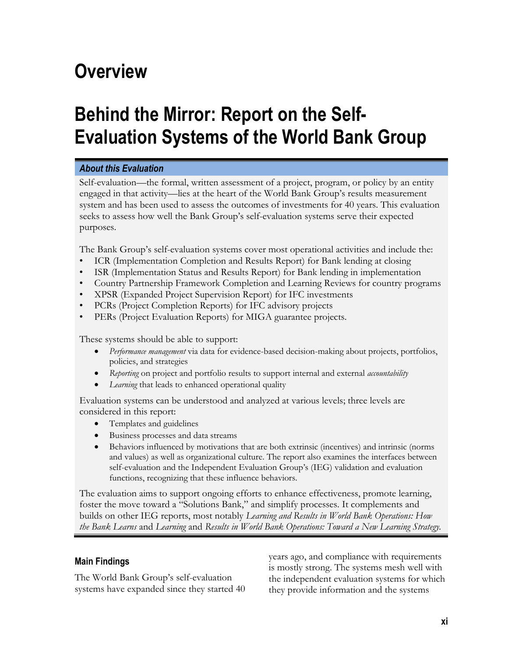## **Overview**

# **Behind the Mirror: Report on the Self-Evaluation Systems of the World Bank Group**

## *About this Evaluation*

Self-evaluation—the formal, written assessment of a project, program, or policy by an entity engaged in that activity—lies at the heart of the World Bank Group's results measurement system and has been used to assess the outcomes of investments for 40 years. This evaluation seeks to assess how well the Bank Group's self-evaluation systems serve their expected purposes.

The Bank Group's self-evaluation systems cover most operational activities and include the:

- ICR (Implementation Completion and Results Report) for Bank lending at closing
- ISR (Implementation Status and Results Report) for Bank lending in implementation
- Country Partnership Framework Completion and Learning Reviews for country programs
- XPSR (Expanded Project Supervision Report) for IFC investments
- PCRs (Project Completion Reports) for IFC advisory projects
- PERs (Project Evaluation Reports) for MIGA guarantee projects.

These systems should be able to support:

- *Performance management* via data for evidence-based decision-making about projects, portfolios, policies, and strategies
- *Reporting* on project and portfolio results to support internal and external *accountability*
- *Learning* that leads to enhanced operational quality

Evaluation systems can be understood and analyzed at various levels; three levels are considered in this report:

- Templates and guidelines
- Business processes and data streams
- Behaviors influenced by motivations that are both extrinsic (incentives) and intrinsic (norms and values) as well as organizational culture. The report also examines the interfaces between self-evaluation and the Independent Evaluation Group's (IEG) validation and evaluation functions, recognizing that these influence behaviors.

The evaluation aims to support ongoing efforts to enhance effectiveness, promote learning, foster the move toward a "Solutions Bank," and simplify processes. It complements and builds on other IEG reports, most notably *Learning and Results in World Bank Operations: How the Bank Learns* and *Learning* and *Results in World Bank Operations: Toward a New Learning Strategy.*

## **Main Findings**

The World Bank Group's self-evaluation systems have expanded since they started 40 years ago, and compliance with requirements is mostly strong. The systems mesh well with the independent evaluation systems for which they provide information and the systems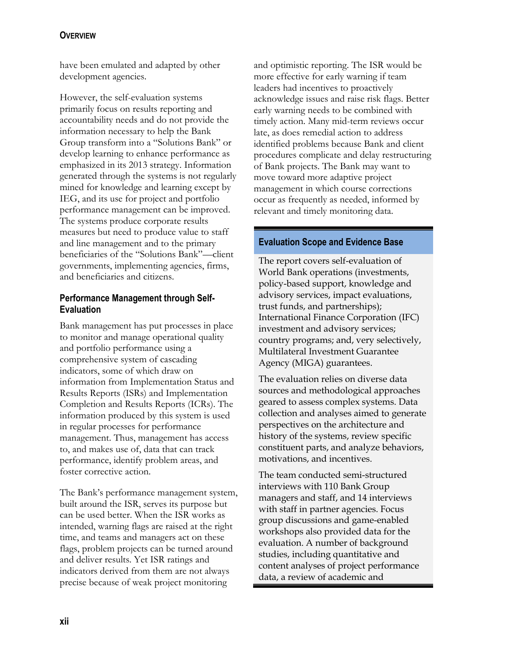## **OVERVIEW**

have been emulated and adapted by other development agencies.

However, the self-evaluation systems primarily focus on results reporting and accountability needs and do not provide the information necessary to help the Bank Group transform into a "Solutions Bank" or develop learning to enhance performance as emphasized in its 2013 strategy. Information generated through the systems is not regularly mined for knowledge and learning except by IEG, and its use for project and portfolio performance management can be improved. The systems produce corporate results measures but need to produce value to staff and line management and to the primary beneficiaries of the "Solutions Bank"—client governments, implementing agencies, firms, and beneficiaries and citizens.

#### **Performance Management through Self-Evaluation**

Bank management has put processes in place to monitor and manage operational quality and portfolio performance using a comprehensive system of cascading indicators, some of which draw on information from Implementation Status and Results Reports (ISRs) and Implementation Completion and Results Reports (ICRs). The information produced by this system is used in regular processes for performance management. Thus, management has access to, and makes use of, data that can track performance, identify problem areas, and foster corrective action.

The Bank's performance management system, built around the ISR, serves its purpose but can be used better. When the ISR works as intended, warning flags are raised at the right time, and teams and managers act on these flags, problem projects can be turned around and deliver results. Yet ISR ratings and indicators derived from them are not always precise because of weak project monitoring

and optimistic reporting. The ISR would be more effective for early warning if team leaders had incentives to proactively acknowledge issues and raise risk flags. Better early warning needs to be combined with timely action. Many mid-term reviews occur late, as does remedial action to address identified problems because Bank and client procedures complicate and delay restructuring of Bank projects. The Bank may want to move toward more adaptive project management in which course corrections occur as frequently as needed, informed by relevant and timely monitoring data.

#### **Evaluation Scope and Evidence Base**

The report covers self-evaluation of World Bank operations (investments, policy-based support, knowledge and advisory services, impact evaluations, trust funds, and partnerships); International Finance Corporation (IFC) investment and advisory services; country programs; and, very selectively, Multilateral Investment Guarantee Agency (MIGA) guarantees.

The evaluation relies on diverse data sources and methodological approaches geared to assess complex systems. Data collection and analyses aimed to generate perspectives on the architecture and history of the systems, review specific constituent parts, and analyze behaviors, motivations, and incentives.

The team conducted semi-structured interviews with 110 Bank Group managers and staff, and 14 interviews with staff in partner agencies. Focus group discussions and game-enabled workshops also provided data for the evaluation. A number of background studies, including quantitative and content analyses of project performance data, a review of academic and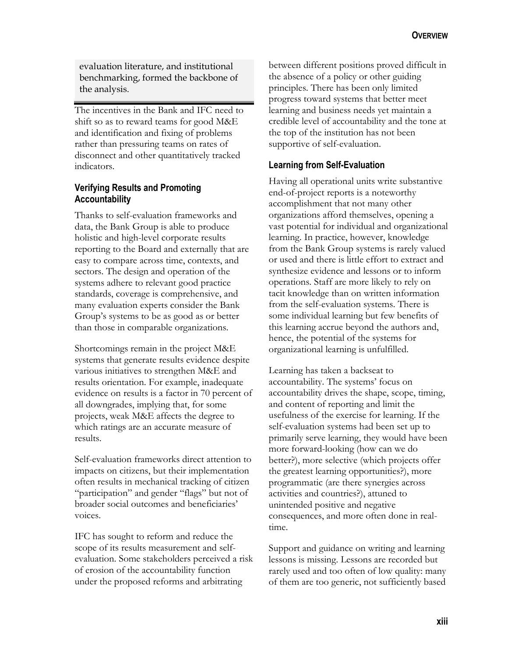evaluation literature, and institutional benchmarking, formed the backbone of the analysis.

The incentives in the Bank and IFC need to shift so as to reward teams for good M&E and identification and fixing of problems rather than pressuring teams on rates of disconnect and other quantitatively tracked indicators.

## **Verifying Results and Promoting Accountability**

Thanks to self-evaluation frameworks and data, the Bank Group is able to produce holistic and high-level corporate results reporting to the Board and externally that are easy to compare across time, contexts, and sectors. The design and operation of the systems adhere to relevant good practice standards, coverage is comprehensive, and many evaluation experts consider the Bank Group's systems to be as good as or better than those in comparable organizations.

Shortcomings remain in the project M&E systems that generate results evidence despite various initiatives to strengthen M&E and results orientation. For example, inadequate evidence on results is a factor in 70 percent of all downgrades, implying that, for some projects, weak M&E affects the degree to which ratings are an accurate measure of results.

Self-evaluation frameworks direct attention to impacts on citizens, but their implementation often results in mechanical tracking of citizen "participation" and gender "flags" but not of broader social outcomes and beneficiaries' voices.

IFC has sought to reform and reduce the scope of its results measurement and selfevaluation. Some stakeholders perceived a risk of erosion of the accountability function under the proposed reforms and arbitrating

between different positions proved difficult in the absence of a policy or other guiding principles. There has been only limited progress toward systems that better meet learning and business needs yet maintain a credible level of accountability and the tone at the top of the institution has not been supportive of self-evaluation.

## **Learning from Self-Evaluation**

Having all operational units write substantive end-of-project reports is a noteworthy accomplishment that not many other organizations afford themselves, opening a vast potential for individual and organizational learning. In practice, however, knowledge from the Bank Group systems is rarely valued or used and there is little effort to extract and synthesize evidence and lessons or to inform operations. Staff are more likely to rely on tacit knowledge than on written information from the self-evaluation systems. There is some individual learning but few benefits of this learning accrue beyond the authors and, hence, the potential of the systems for organizational learning is unfulfilled.

Learning has taken a backseat to accountability. The systems' focus on accountability drives the shape, scope, timing, and content of reporting and limit the usefulness of the exercise for learning. If the self-evaluation systems had been set up to primarily serve learning, they would have been more forward-looking (how can we do better?), more selective (which projects offer the greatest learning opportunities?), more programmatic (are there synergies across activities and countries?), attuned to unintended positive and negative consequences, and more often done in realtime.

Support and guidance on writing and learning lessons is missing. Lessons are recorded but rarely used and too often of low quality: many of them are too generic, not sufficiently based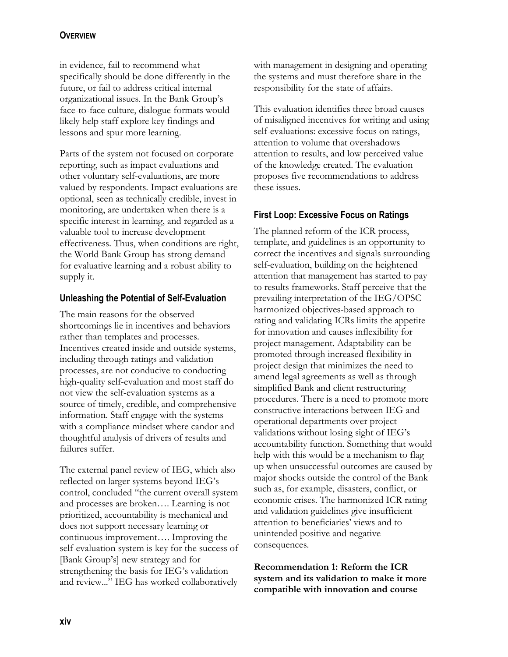## **OVERVIEW**

in evidence, fail to recommend what specifically should be done differently in the future, or fail to address critical internal organizational issues. In the Bank Group's face-to-face culture, dialogue formats would likely help staff explore key findings and lessons and spur more learning.

Parts of the system not focused on corporate reporting, such as impact evaluations and other voluntary self-evaluations, are more valued by respondents. Impact evaluations are optional, seen as technically credible, invest in monitoring, are undertaken when there is a specific interest in learning, and regarded as a valuable tool to increase development effectiveness. Thus, when conditions are right, the World Bank Group has strong demand for evaluative learning and a robust ability to supply it.

## **Unleashing the Potential of Self-Evaluation**

The main reasons for the observed shortcomings lie in incentives and behaviors rather than templates and processes. Incentives created inside and outside systems, including through ratings and validation processes, are not conducive to conducting high-quality self-evaluation and most staff do not view the self-evaluation systems as a source of timely, credible, and comprehensive information. Staff engage with the systems with a compliance mindset where candor and thoughtful analysis of drivers of results and failures suffer.

The external panel review of IEG, which also reflected on larger systems beyond IEG's control, concluded "the current overall system and processes are broken…. Learning is not prioritized, accountability is mechanical and does not support necessary learning or continuous improvement…. Improving the self-evaluation system is key for the success of [Bank Group's] new strategy and for strengthening the basis for IEG's validation and review..." IEG has worked collaboratively

with management in designing and operating the systems and must therefore share in the responsibility for the state of affairs.

This evaluation identifies three broad causes of misaligned incentives for writing and using self-evaluations: excessive focus on ratings, attention to volume that overshadows attention to results, and low perceived value of the knowledge created. The evaluation proposes five recommendations to address these issues.

## **First Loop: Excessive Focus on Ratings**

The planned reform of the ICR process, template, and guidelines is an opportunity to correct the incentives and signals surrounding self-evaluation, building on the heightened attention that management has started to pay to results frameworks. Staff perceive that the prevailing interpretation of the IEG/OPSC harmonized objectives-based approach to rating and validating ICRs limits the appetite for innovation and causes inflexibility for project management. Adaptability can be promoted through increased flexibility in project design that minimizes the need to amend legal agreements as well as through simplified Bank and client restructuring procedures. There is a need to promote more constructive interactions between IEG and operational departments over project validations without losing sight of IEG's accountability function. Something that would help with this would be a mechanism to flag up when unsuccessful outcomes are caused by major shocks outside the control of the Bank such as, for example, disasters, conflict, or economic crises. The harmonized ICR rating and validation guidelines give insufficient attention to beneficiaries' views and to unintended positive and negative consequences.

**Recommendation 1: Reform the ICR system and its validation to make it more compatible with innovation and course**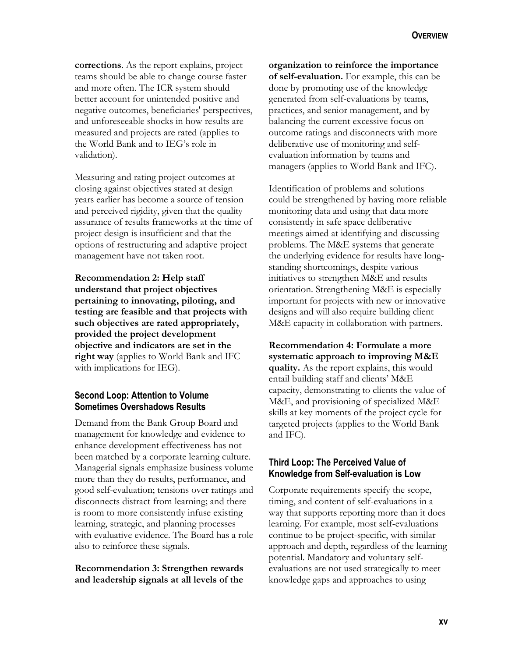**corrections**. As the report explains, project teams should be able to change course faster and more often. The ICR system should better account for unintended positive and negative outcomes, beneficiaries' perspectives, and unforeseeable shocks in how results are measured and projects are rated (applies to the World Bank and to IEG's role in validation).

Measuring and rating project outcomes at closing against objectives stated at design years earlier has become a source of tension and perceived rigidity, given that the quality assurance of results frameworks at the time of project design is insufficient and that the options of restructuring and adaptive project management have not taken root.

**Recommendation 2: Help staff understand that project objectives pertaining to innovating, piloting, and testing are feasible and that projects with such objectives are rated appropriately, provided the project development objective and indicators are set in the right way** (applies to World Bank and IFC with implications for IEG).

#### **Second Loop: Attention to Volume Sometimes Overshadows Results**

Demand from the Bank Group Board and management for knowledge and evidence to enhance development effectiveness has not been matched by a corporate learning culture. Managerial signals emphasize business volume more than they do results, performance, and good self-evaluation; tensions over ratings and disconnects distract from learning; and there is room to more consistently infuse existing learning, strategic, and planning processes with evaluative evidence. The Board has a role also to reinforce these signals.

**Recommendation 3: Strengthen rewards and leadership signals at all levels of the**  **organization to reinforce the importance of self-evaluation.** For example, this can be done by promoting use of the knowledge generated from self-evaluations by teams, practices, and senior management, and by balancing the current excessive focus on outcome ratings and disconnects with more deliberative use of monitoring and selfevaluation information by teams and managers (applies to World Bank and IFC).

Identification of problems and solutions could be strengthened by having more reliable monitoring data and using that data more consistently in safe space deliberative meetings aimed at identifying and discussing problems. The M&E systems that generate the underlying evidence for results have longstanding shortcomings, despite various initiatives to strengthen M&E and results orientation. Strengthening M&E is especially important for projects with new or innovative designs and will also require building client M&E capacity in collaboration with partners.

**Recommendation 4: Formulate a more systematic approach to improving M&E quality.** As the report explains, this would entail building staff and clients' M&E capacity, demonstrating to clients the value of M&E, and provisioning of specialized M&E skills at key moments of the project cycle for targeted projects (applies to the World Bank and IFC).

#### **Third Loop: The Perceived Value of Knowledge from Self-evaluation is Low**

Corporate requirements specify the scope, timing, and content of self-evaluations in a way that supports reporting more than it does learning. For example, most self-evaluations continue to be project-specific, with similar approach and depth, regardless of the learning potential. Mandatory and voluntary selfevaluations are not used strategically to meet knowledge gaps and approaches to using